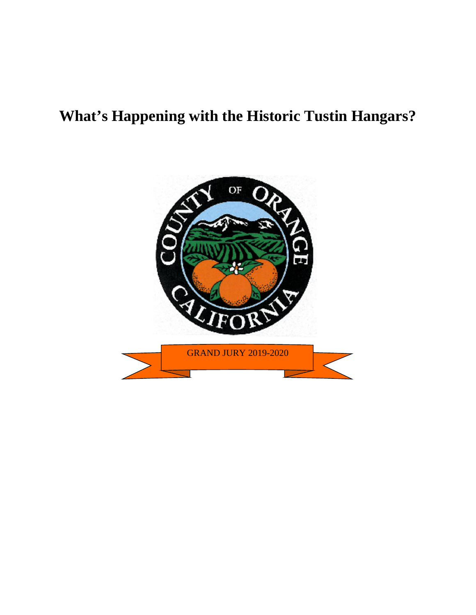# **What's Happening with the Historic Tustin Hangars?**

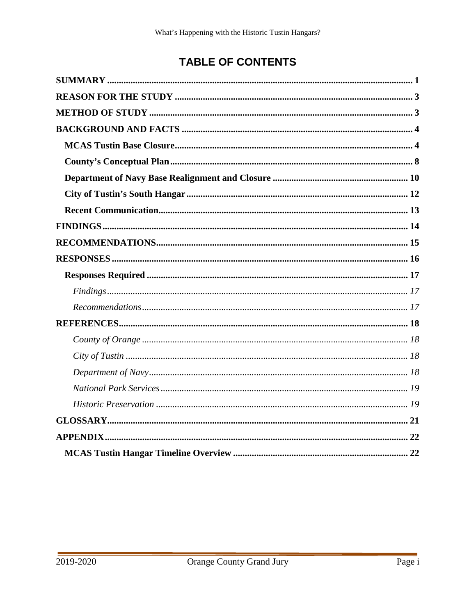## **TABLE OF CONTENTS**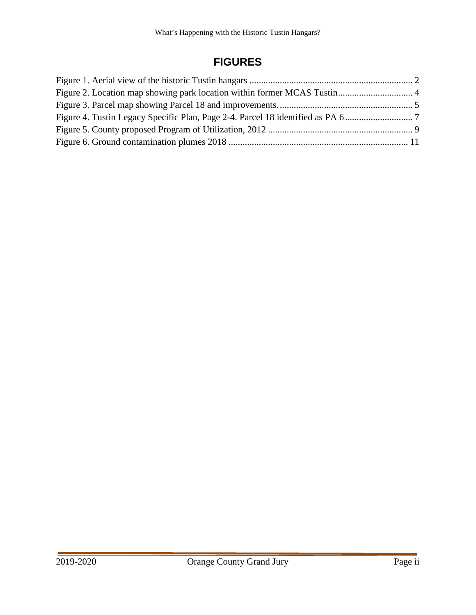## **FIGURES**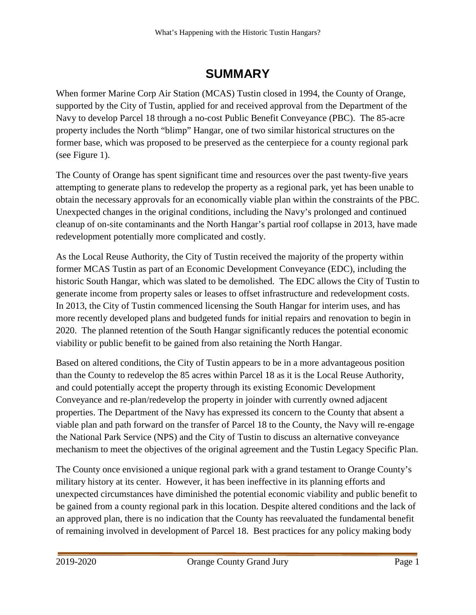# **SUMMARY**

<span id="page-3-0"></span>When former Marine Corp Air Station (MCAS) Tustin closed in 1994, the County of Orange, supported by the City of Tustin, applied for and received approval from the Department of the Navy to develop Parcel 18 through a no-cost Public Benefit Conveyance (PBC). The 85-acre property includes the North "blimp" Hangar, one of two similar historical structures on the former base, which was proposed to be preserved as the centerpiece for a county regional park (see [Figure 1\)](#page-4-0).

The County of Orange has spent significant time and resources over the past twenty-five years attempting to generate plans to redevelop the property as a regional park, yet has been unable to obtain the necessary approvals for an economically viable plan within the constraints of the PBC. Unexpected changes in the original conditions, including the Navy's prolonged and continued cleanup of on-site contaminants and the North Hangar's partial roof collapse in 2013, have made redevelopment potentially more complicated and costly.

As the Local Reuse Authority, the City of Tustin received the majority of the property within former MCAS Tustin as part of an Economic Development Conveyance (EDC), including the historic South Hangar, which was slated to be demolished. The EDC allows the City of Tustin to generate income from property sales or leases to offset infrastructure and redevelopment costs. In 2013, the City of Tustin commenced licensing the South Hangar for interim uses, and has more recently developed plans and budgeted funds for initial repairs and renovation to begin in 2020. The planned retention of the South Hangar significantly reduces the potential economic viability or public benefit to be gained from also retaining the North Hangar.

Based on altered conditions, the City of Tustin appears to be in a more advantageous position than the County to redevelop the 85 acres within Parcel 18 as it is the Local Reuse Authority, and could potentially accept the property through its existing Economic Development Conveyance and re-plan/redevelop the property in joinder with currently owned adjacent properties. The Department of the Navy has expressed its concern to the County that absent a viable plan and path forward on the transfer of Parcel 18 to the County, the Navy will re-engage the National Park Service (NPS) and the City of Tustin to discuss an alternative conveyance mechanism to meet the objectives of the original agreement and the Tustin Legacy Specific Plan.

The County once envisioned a unique regional park with a grand testament to Orange County's military history at its center. However, it has been ineffective in its planning efforts and unexpected circumstances have diminished the potential economic viability and public benefit to be gained from a county regional park in this location. Despite altered conditions and the lack of an approved plan, there is no indication that the County has reevaluated the fundamental benefit of remaining involved in development of Parcel 18. Best practices for any policy making body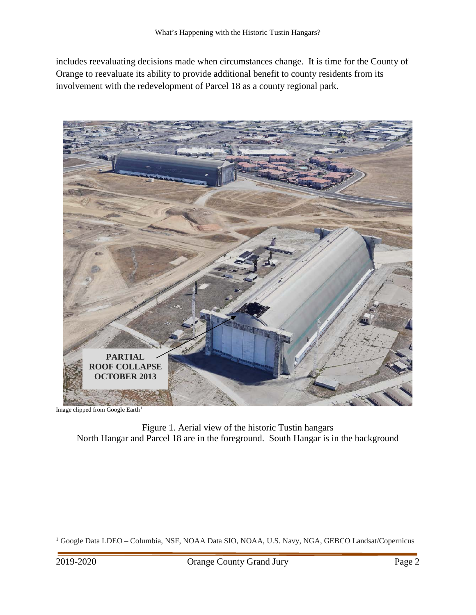includes reevaluating decisions made when circumstances change. It is time for the County of Orange to reevaluate its ability to provide additional benefit to county residents from its involvement with the redevelopment of Parcel 18 as a county regional park.



Image clipped from Google Earth<sup>1</sup>

<span id="page-4-0"></span>Figure 1. Aerial view of the historic Tustin hangars North Hangar and Parcel 18 are in the foreground. South Hangar is in the background

<span id="page-4-1"></span><sup>&</sup>lt;sup>1</sup> Google Data LDEO – Columbia, NSF, NOAA Data SIO, NOAA, U.S. Navy, NGA, GEBCO Landsat/Copernicus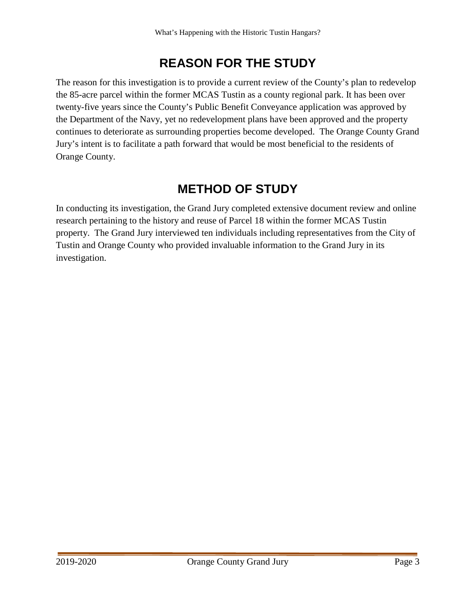# **REASON FOR THE STUDY**

<span id="page-5-0"></span>The reason for this investigation is to provide a current review of the County's plan to redevelop the 85-acre parcel within the former MCAS Tustin as a county regional park. It has been over twenty-five years since the County's Public Benefit Conveyance application was approved by the Department of the Navy, yet no redevelopment plans have been approved and the property continues to deteriorate as surrounding properties become developed. The Orange County Grand Jury's intent is to facilitate a path forward that would be most beneficial to the residents of Orange County.

# **METHOD OF STUDY**

<span id="page-5-1"></span>In conducting its investigation, the Grand Jury completed extensive document review and online research pertaining to the history and reuse of Parcel 18 within the former MCAS Tustin property. The Grand Jury interviewed ten individuals including representatives from the City of Tustin and Orange County who provided invaluable information to the Grand Jury in its investigation.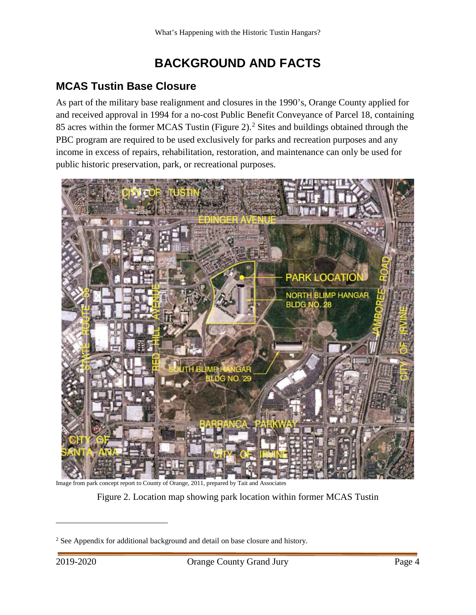# **BACKGROUND AND FACTS**

## <span id="page-6-1"></span><span id="page-6-0"></span>**MCAS Tustin Base Closure**

As part of the military base realignment and closures in the 1990's, Orange County applied for and received approval in 1994 for a no-cost Public Benefit Conveyance of Parcel 18, containing 85 acres within the former MCAS Tustin [\(Figure 2\)](#page-6-2).<sup>[2](#page-6-3)</sup> Sites and buildings obtained through the PBC program are required to be used exclusively for parks and recreation purposes and any income in excess of repairs, rehabilitation, restoration, and maintenance can only be used for public historic preservation, park, or recreational purposes.



<span id="page-6-2"></span>Image from park concept report to County of Orange, 2011, prepared by Tait and Associates

Figure 2. Location map showing park location within former MCAS Tustin

<span id="page-6-3"></span><sup>&</sup>lt;sup>2</sup> See Appendix for additional background and detail on base closure and history.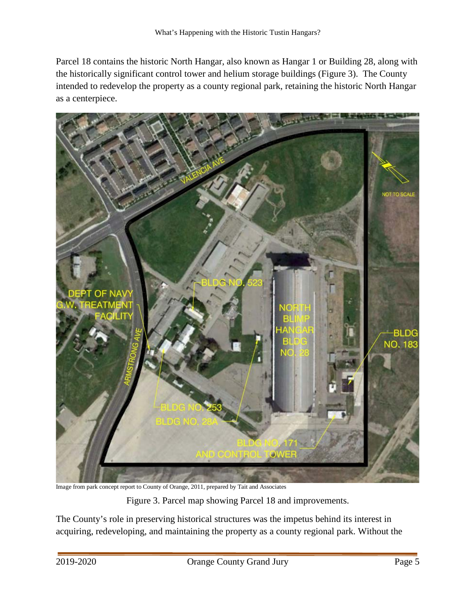Parcel 18 contains the historic North Hangar, also known as Hangar 1 or Building 28, along with the historically significant control tower and helium storage buildings [\(Figure 3\)](#page-7-0). The County intended to redevelop the property as a county regional park, retaining the historic North Hangar as a centerpiece.



Image from park concept report to County of Orange, 2011, prepared by Tait and Associates

Figure 3. Parcel map showing Parcel 18 and improvements.

<span id="page-7-0"></span>The County's role in preserving historical structures was the impetus behind its interest in acquiring, redeveloping, and maintaining the property as a county regional park. Without the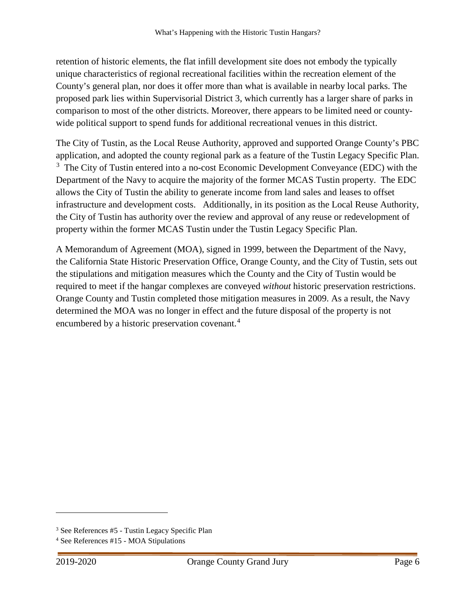retention of historic elements, the flat infill development site does not embody the typically unique characteristics of regional recreational facilities within the recreation element of the County's general plan, nor does it offer more than what is available in nearby local parks. The proposed park lies within Supervisorial District 3, which currently has a larger share of parks in comparison to most of the other districts. Moreover, there appears to be limited need or countywide political support to spend funds for additional recreational venues in this district.

The City of Tustin, as the Local Reuse Authority, approved and supported Orange County's PBC application, and adopted the county regional park as a feature of the Tustin Legacy Specific Plan. <sup>[3](#page-8-0)</sup> The City of Tustin entered into a no-cost Economic Development Conveyance (EDC) with the Department of the Navy to acquire the majority of the former MCAS Tustin property. The EDC allows the City of Tustin the ability to generate income from land sales and leases to offset infrastructure and development costs. Additionally, in its position as the Local Reuse Authority, the City of Tustin has authority over the review and approval of any reuse or redevelopment of property within the former MCAS Tustin under the Tustin Legacy Specific Plan.

A Memorandum of Agreement (MOA), signed in 1999, between the Department of the Navy, the California State Historic Preservation Office, Orange County, and the City of Tustin, sets out the stipulations and mitigation measures which the County and the City of Tustin would be required to meet if the hangar complexes are conveyed *without* historic preservation restrictions. Orange County and Tustin completed those mitigation measures in 2009. As a result, the Navy determined the MOA was no longer in effect and the future disposal of the property is not encumbered by a historic preservation covenant.<sup>[4](#page-8-1)</sup>

<span id="page-8-0"></span><sup>3</sup> See References #5 - Tustin Legacy Specific Plan

<span id="page-8-1"></span><sup>4</sup> See References #15 - MOA Stipulations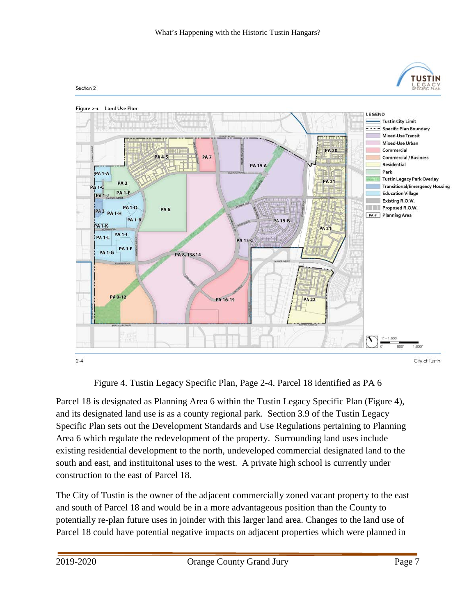

Figure 4. Tustin Legacy Specific Plan, Page 2-4. Parcel 18 identified as PA 6

<span id="page-9-0"></span>Parcel 18 is designated as Planning Area 6 within the Tustin Legacy Specific Plan [\(Figure 4\)](#page-9-0), and its designated land use is as a county regional park. Section 3.9 of the Tustin Legacy Specific Plan sets out the Development Standards and Use Regulations pertaining to Planning Area 6 which regulate the redevelopment of the property. Surrounding land uses include existing residential development to the north, undeveloped commercial designated land to the south and east, and instituitonal uses to the west. A private high school is currently under construction to the east of Parcel 18.

The City of Tustin is the owner of the adjacent commercially zoned vacant property to the east and south of Parcel 18 and would be in a more advantageous position than the County to potentially re-plan future uses in joinder with this larger land area. Changes to the land use of Parcel 18 could have potential negative impacts on adjacent properties which were planned in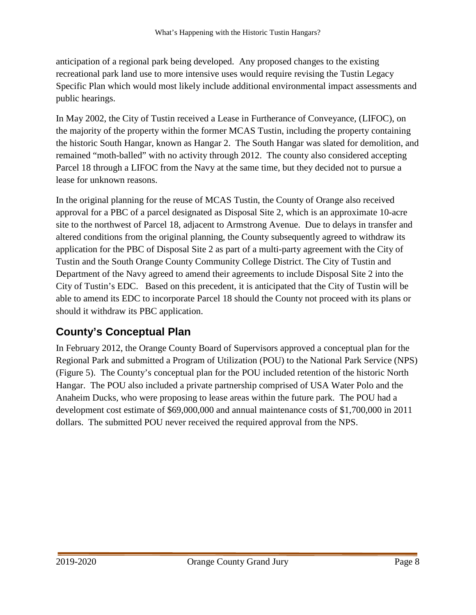anticipation of a regional park being developed. Any proposed changes to the existing recreational park land use to more intensive uses would require revising the Tustin Legacy Specific Plan which would most likely include additional environmental impact assessments and public hearings.

In May 2002, the City of Tustin received a Lease in Furtherance of Conveyance, (LIFOC), on the majority of the property within the former MCAS Tustin, including the property containing the historic South Hangar, known as Hangar 2. The South Hangar was slated for demolition, and remained "moth-balled" with no activity through 2012. The county also considered accepting Parcel 18 through a LIFOC from the Navy at the same time, but they decided not to pursue a lease for unknown reasons.

In the original planning for the reuse of MCAS Tustin, the County of Orange also received approval for a PBC of a parcel designated as Disposal Site 2, which is an approximate 10-acre site to the northwest of Parcel 18, adjacent to Armstrong Avenue. Due to delays in transfer and altered conditions from the original planning, the County subsequently agreed to withdraw its application for the PBC of Disposal Site 2 as part of a multi-party agreement with the City of Tustin and the South Orange County Community College District. The City of Tustin and Department of the Navy agreed to amend their agreements to include Disposal Site 2 into the City of Tustin's EDC. Based on this precedent, it is anticipated that the City of Tustin will be able to amend its EDC to incorporate Parcel 18 should the County not proceed with its plans or should it withdraw its PBC application.

## <span id="page-10-0"></span>**County's Conceptual Plan**

In February 2012, the Orange County Board of Supervisors approved a conceptual plan for the Regional Park and submitted a Program of Utilization (POU) to the National Park Service (NPS) [\(Figure 5\)](#page-11-0). The County's conceptual plan for the POU included retention of the historic North Hangar. The POU also included a private partnership comprised of USA Water Polo and the Anaheim Ducks, who were proposing to lease areas within the future park. The POU had a development cost estimate of \$69,000,000 and annual maintenance costs of \$1,700,000 in 2011 dollars. The submitted POU never received the required approval from the NPS.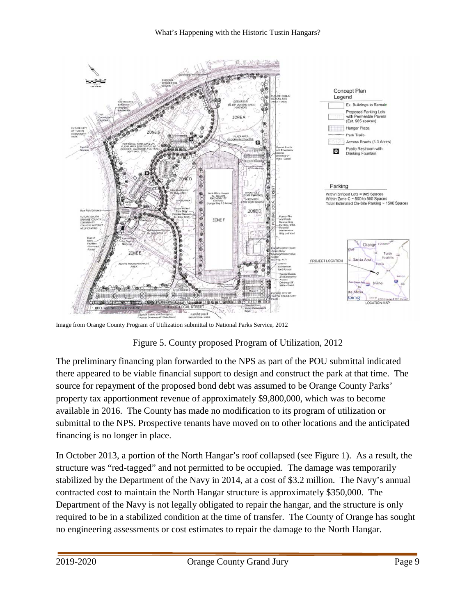

<span id="page-11-0"></span>Image from Orange County Program of Utilization submittal to National Parks Service, 2012

### Figure 5. County proposed Program of Utilization, 2012

The preliminary financing plan forwarded to the NPS as part of the POU submittal indicated there appeared to be viable financial support to design and construct the park at that time. The source for repayment of the proposed bond debt was assumed to be Orange County Parks' property tax apportionment revenue of approximately \$9,800,000, which was to become available in 2016. The County has made no modification to its program of utilization or submittal to the NPS. Prospective tenants have moved on to other locations and the anticipated financing is no longer in place.

In October 2013, a portion of the North Hangar's roof collapsed (see Figure 1). As a result, the structure was "red-tagged" and not permitted to be occupied. The damage was temporarily stabilized by the Department of the Navy in 2014, at a cost of \$3.2 million. The Navy's annual contracted cost to maintain the North Hangar structure is approximately \$350,000. The Department of the Navy is not legally obligated to repair the hangar, and the structure is only required to be in a stabilized condition at the time of transfer. The County of Orange has sought no engineering assessments or cost estimates to repair the damage to the North Hangar.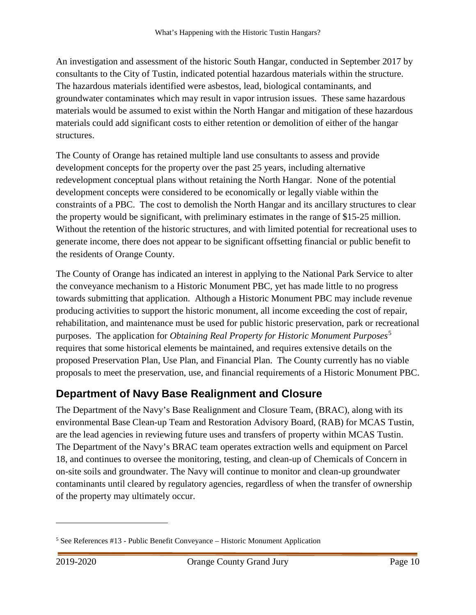An investigation and assessment of the historic South Hangar, conducted in September 2017 by consultants to the City of Tustin, indicated potential hazardous materials within the structure. The hazardous materials identified were asbestos, lead, biological contaminants, and groundwater contaminates which may result in vapor intrusion issues. These same hazardous materials would be assumed to exist within the North Hangar and mitigation of these hazardous materials could add significant costs to either retention or demolition of either of the hangar structures.

The County of Orange has retained multiple land use consultants to assess and provide development concepts for the property over the past 25 years, including alternative redevelopment conceptual plans without retaining the North Hangar. None of the potential development concepts were considered to be economically or legally viable within the constraints of a PBC. The cost to demolish the North Hangar and its ancillary structures to clear the property would be significant, with preliminary estimates in the range of \$15-25 million. Without the retention of the historic structures, and with limited potential for recreational uses to generate income, there does not appear to be significant offsetting financial or public benefit to the residents of Orange County.

The County of Orange has indicated an interest in applying to the National Park Service to alter the conveyance mechanism to a Historic Monument PBC, yet has made little to no progress towards submitting that application. Although a Historic Monument PBC may include revenue producing activities to support the historic monument, all income exceeding the cost of repair, rehabilitation, and maintenance must be used for public historic preservation, park or recreational purposes. The application for *Obtaining Real Property for Historic Monument Purposes*[5](#page-12-1) requires that some historical elements be maintained, and requires extensive details on the proposed Preservation Plan, Use Plan, and Financial Plan. The County currently has no viable proposals to meet the preservation, use, and financial requirements of a Historic Monument PBC.

## <span id="page-12-0"></span>**Department of Navy Base Realignment and Closure**

The Department of the Navy's Base Realignment and Closure Team, (BRAC), along with its environmental Base Clean-up Team and Restoration Advisory Board, (RAB) for MCAS Tustin, are the lead agencies in reviewing future uses and transfers of property within MCAS Tustin. The Department of the Navy's BRAC team operates extraction wells and equipment on Parcel 18, and continues to oversee the monitoring, testing, and clean-up of Chemicals of Concern in on-site soils and groundwater. The Navy will continue to monitor and clean-up groundwater contaminants until cleared by regulatory agencies, regardless of when the transfer of ownership of the property may ultimately occur.

<span id="page-12-1"></span><sup>5</sup> See References #13 - Public Benefit Conveyance – Historic Monument Application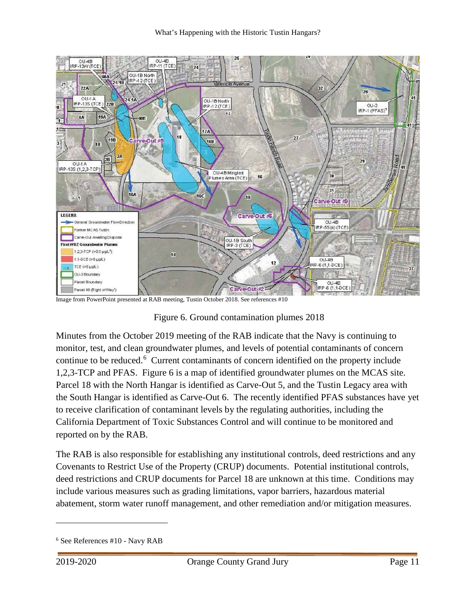

Image from PowerPoint presented at RAB meeting, Tustin October 2018. See references #10

<span id="page-13-0"></span>Figure 6. Ground contamination plumes 2018

Minutes from the October 2019 meeting of the RAB indicate that the Navy is continuing to monitor, test, and clean groundwater plumes, and levels of potential contaminants of concern continue to be reduced.<sup>[6](#page-13-1)</sup> Current contaminants of concern identified on the property include 1,2,3-TCP and PFAS. [Figure 6](#page-13-0) is a map of identified groundwater plumes on the MCAS site. Parcel 18 with the North Hangar is identified as Carve-Out 5, and the Tustin Legacy area with the South Hangar is identified as Carve-Out 6. The recently identified PFAS substances have yet to receive clarification of contaminant levels by the regulating authorities, including the California Department of Toxic Substances Control and will continue to be monitored and reported on by the RAB.

The RAB is also responsible for establishing any institutional controls, deed restrictions and any Covenants to Restrict Use of the Property (CRUP) documents. Potential institutional controls, deed restrictions and CRUP documents for Parcel 18 are unknown at this time. Conditions may include various measures such as grading limitations, vapor barriers, hazardous material abatement, storm water runoff management, and other remediation and/or mitigation measures.

<span id="page-13-1"></span><sup>6</sup> See References #10 - Navy RAB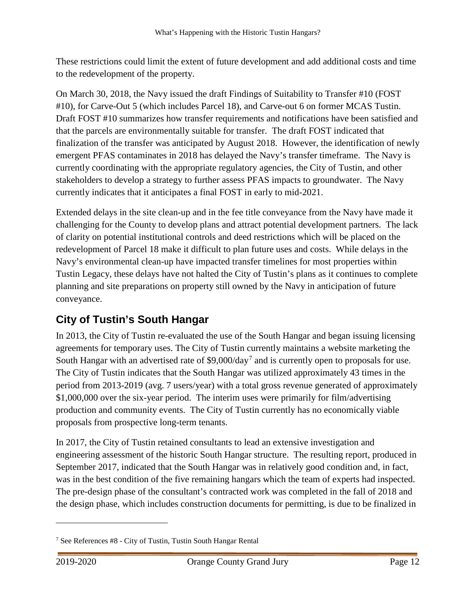These restrictions could limit the extent of future development and add additional costs and time to the redevelopment of the property.

On March 30, 2018, the Navy issued the draft Findings of Suitability to Transfer #10 (FOST #10), for Carve-Out 5 (which includes Parcel 18), and Carve-out 6 on former MCAS Tustin. Draft FOST #10 summarizes how transfer requirements and notifications have been satisfied and that the parcels are environmentally suitable for transfer. The draft FOST indicated that finalization of the transfer was anticipated by August 2018. However, the identification of newly emergent PFAS contaminates in 2018 has delayed the Navy's transfer timeframe. The Navy is currently coordinating with the appropriate regulatory agencies, the City of Tustin, and other stakeholders to develop a strategy to further assess PFAS impacts to groundwater. The Navy currently indicates that it anticipates a final FOST in early to mid-2021.

Extended delays in the site clean-up and in the fee title conveyance from the Navy have made it challenging for the County to develop plans and attract potential development partners. The lack of clarity on potential institutional controls and deed restrictions which will be placed on the redevelopment of Parcel 18 make it difficult to plan future uses and costs. While delays in the Navy's environmental clean-up have impacted transfer timelines for most properties within Tustin Legacy, these delays have not halted the City of Tustin's plans as it continues to complete planning and site preparations on property still owned by the Navy in anticipation of future conveyance.

## <span id="page-14-0"></span>**City of Tustin's South Hangar**

In 2013, the City of Tustin re-evaluated the use of the South Hangar and began issuing licensing agreements for temporary uses. The City of Tustin currently maintains a website marketing the South Hangar with an advertised rate of  $$9,000/day<sup>7</sup>$  $$9,000/day<sup>7</sup>$  $$9,000/day<sup>7</sup>$  and is currently open to proposals for use. The City of Tustin indicates that the South Hangar was utilized approximately 43 times in the period from 2013-2019 (avg. 7 users/year) with a total gross revenue generated of approximately \$1,000,000 over the six-year period. The interim uses were primarily for film/advertising production and community events. The City of Tustin currently has no economically viable proposals from prospective long-term tenants.

In 2017, the City of Tustin retained consultants to lead an extensive investigation and engineering assessment of the historic South Hangar structure. The resulting report, produced in September 2017, indicated that the South Hangar was in relatively good condition and, in fact, was in the best condition of the five remaining hangars which the team of experts had inspected. The pre-design phase of the consultant's contracted work was completed in the fall of 2018 and the design phase, which includes construction documents for permitting, is due to be finalized in

<span id="page-14-1"></span><sup>7</sup> See References #8 - City of Tustin, Tustin South Hangar Rental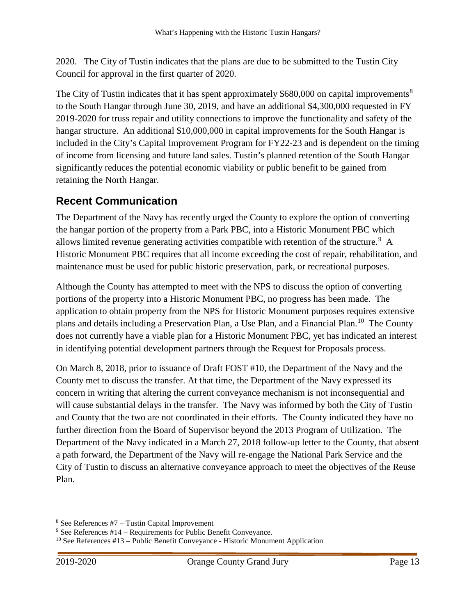2020. The City of Tustin indicates that the plans are due to be submitted to the Tustin City Council for approval in the first quarter of 2020.

The City of Tustin indicates that it has spent approximately \$6[8](#page-15-1)0,000 on capital improvements<sup>8</sup> to the South Hangar through June 30, 2019, and have an additional \$4,300,000 requested in FY 2019-2020 for truss repair and utility connections to improve the functionality and safety of the hangar structure. An additional \$10,000,000 in capital improvements for the South Hangar is included in the City's Capital Improvement Program for FY22-23 and is dependent on the timing of income from licensing and future land sales. Tustin's planned retention of the South Hangar significantly reduces the potential economic viability or public benefit to be gained from retaining the North Hangar.

## <span id="page-15-0"></span>**Recent Communication**

The Department of the Navy has recently urged the County to explore the option of converting the hangar portion of the property from a Park PBC, into a Historic Monument PBC which allows limited revenue generating activities compatible with retention of the structure.<sup>[9](#page-15-2)</sup> A Historic Monument PBC requires that all income exceeding the cost of repair, rehabilitation, and maintenance must be used for public historic preservation, park, or recreational purposes.

Although the County has attempted to meet with the NPS to discuss the option of converting portions of the property into a Historic Monument PBC, no progress has been made. The application to obtain property from the NPS for Historic Monument purposes requires extensive plans and details including a Preservation Plan, a Use Plan, and a Financial Plan.<sup>[10](#page-15-3)</sup> The County does not currently have a viable plan for a Historic Monument PBC, yet has indicated an interest in identifying potential development partners through the Request for Proposals process.

On March 8, 2018, prior to issuance of Draft FOST #10, the Department of the Navy and the County met to discuss the transfer. At that time, the Department of the Navy expressed its concern in writing that altering the current conveyance mechanism is not inconsequential and will cause substantial delays in the transfer. The Navy was informed by both the City of Tustin and County that the two are not coordinated in their efforts. The County indicated they have no further direction from the Board of Supervisor beyond the 2013 Program of Utilization. The Department of the Navy indicated in a March 27, 2018 follow-up letter to the County, that absent a path forward, the Department of the Navy will re-engage the National Park Service and the City of Tustin to discuss an alternative conveyance approach to meet the objectives of the Reuse Plan.

<span id="page-15-1"></span> $8$  See References #7 – Tustin Capital Improvement

<span id="page-15-2"></span><sup>9</sup> See References #14 – Requirements for Public Benefit Conveyance.

<span id="page-15-3"></span><sup>10</sup> See References #13 – Public Benefit Conveyance - Historic Monument Application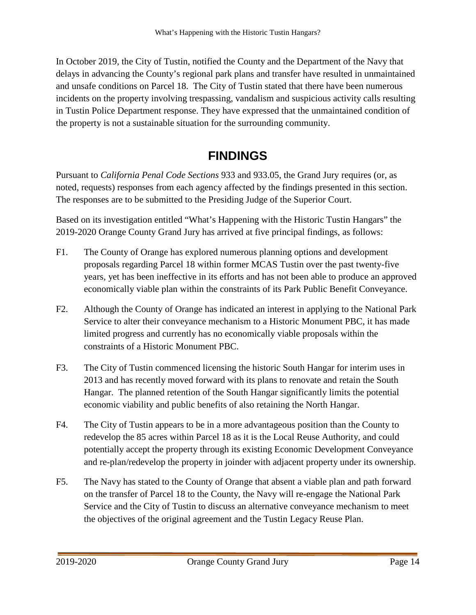In October 2019, the City of Tustin, notified the County and the Department of the Navy that delays in advancing the County's regional park plans and transfer have resulted in unmaintained and unsafe conditions on Parcel 18. The City of Tustin stated that there have been numerous incidents on the property involving trespassing, vandalism and suspicious activity calls resulting in Tustin Police Department response. They have expressed that the unmaintained condition of the property is not a sustainable situation for the surrounding community.

# **FINDINGS**

<span id="page-16-0"></span>Pursuant to *California Penal Code Sections* 933 and 933.05, the Grand Jury requires (or, as noted, requests) responses from each agency affected by the findings presented in this section. The responses are to be submitted to the Presiding Judge of the Superior Court.

Based on its investigation entitled "What's Happening with the Historic Tustin Hangars" the 2019-2020 Orange County Grand Jury has arrived at five principal findings, as follows:

- F1. The County of Orange has explored numerous planning options and development proposals regarding Parcel 18 within former MCAS Tustin over the past twenty-five years, yet has been ineffective in its efforts and has not been able to produce an approved economically viable plan within the constraints of its Park Public Benefit Conveyance.
- F2. Although the County of Orange has indicated an interest in applying to the National Park Service to alter their conveyance mechanism to a Historic Monument PBC, it has made limited progress and currently has no economically viable proposals within the constraints of a Historic Monument PBC.
- F3. The City of Tustin commenced licensing the historic South Hangar for interim uses in 2013 and has recently moved forward with its plans to renovate and retain the South Hangar. The planned retention of the South Hangar significantly limits the potential economic viability and public benefits of also retaining the North Hangar.
- F4. The City of Tustin appears to be in a more advantageous position than the County to redevelop the 85 acres within Parcel 18 as it is the Local Reuse Authority, and could potentially accept the property through its existing Economic Development Conveyance and re-plan/redevelop the property in joinder with adjacent property under its ownership.
- F5. The Navy has stated to the County of Orange that absent a viable plan and path forward on the transfer of Parcel 18 to the County, the Navy will re-engage the National Park Service and the City of Tustin to discuss an alternative conveyance mechanism to meet the objectives of the original agreement and the Tustin Legacy Reuse Plan.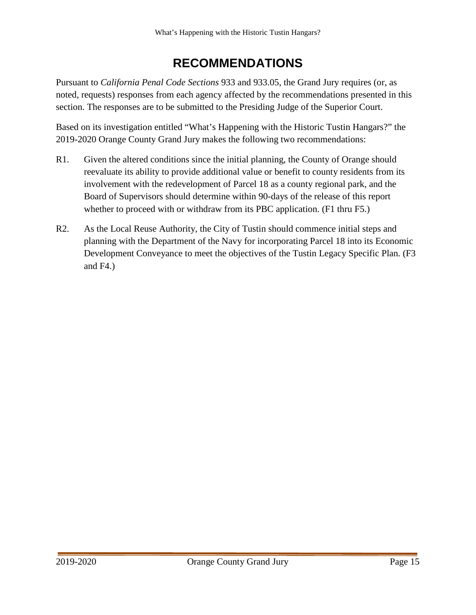## **RECOMMENDATIONS**

<span id="page-17-0"></span>Pursuant to *California Penal Code Sections* 933 and 933.05, the Grand Jury requires (or, as noted, requests) responses from each agency affected by the recommendations presented in this section. The responses are to be submitted to the Presiding Judge of the Superior Court.

Based on its investigation entitled "What's Happening with the Historic Tustin Hangars?" the 2019-2020 Orange County Grand Jury makes the following two recommendations:

- R1. Given the altered conditions since the initial planning, the County of Orange should reevaluate its ability to provide additional value or benefit to county residents from its involvement with the redevelopment of Parcel 18 as a county regional park, and the Board of Supervisors should determine within 90-days of the release of this report whether to proceed with or withdraw from its PBC application. (F1 thru F5.)
- R2. As the Local Reuse Authority, the City of Tustin should commence initial steps and planning with the Department of the Navy for incorporating Parcel 18 into its Economic Development Conveyance to meet the objectives of the Tustin Legacy Specific Plan. (F3 and F4.)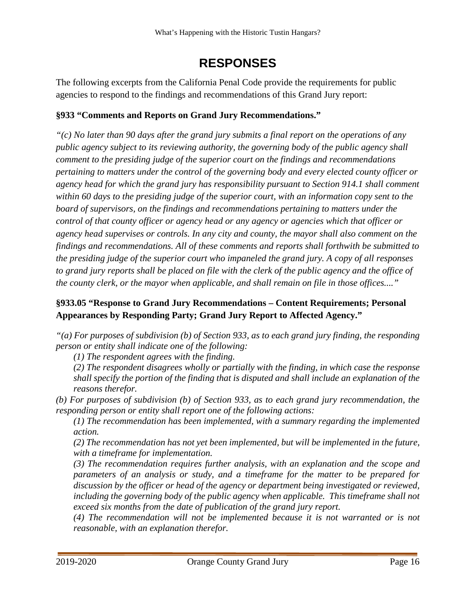## **RESPONSES**

<span id="page-18-0"></span>The following excerpts from the California Penal Code provide the requirements for public agencies to respond to the findings and recommendations of this Grand Jury report:

### **§933 "Comments and Reports on Grand Jury Recommendations."**

*"(c) No later than 90 days after the grand jury submits a final report on the operations of any public agency subject to its reviewing authority, the governing body of the public agency shall comment to the presiding judge of the superior court on the findings and recommendations pertaining to matters under the control of the governing body and every elected county officer or agency head for which the grand jury has responsibility pursuant to Section 914.1 shall comment within 60 days to the presiding judge of the superior court, with an information copy sent to the board of supervisors, on the findings and recommendations pertaining to matters under the control of that county officer or agency head or any agency or agencies which that officer or agency head supervises or controls. In any city and county, the mayor shall also comment on the findings and recommendations. All of these comments and reports shall forthwith be submitted to the presiding judge of the superior court who impaneled the grand jury. A copy of all responses to grand jury reports shall be placed on file with the clerk of the public agency and the office of the county clerk, or the mayor when applicable, and shall remain on file in those offices...."*

### **§933.05 "Response to Grand Jury Recommendations – Content Requirements; Personal Appearances by Responding Party; Grand Jury Report to Affected Agency."**

*"(a) For purposes of subdivision (b) of Section 933, as to each grand jury finding, the responding person or entity shall indicate one of the following:* 

*(1) The respondent agrees with the finding.* 

*(2) The respondent disagrees wholly or partially with the finding, in which case the response shall specify the portion of the finding that is disputed and shall include an explanation of the reasons therefor.* 

*(b) For purposes of subdivision (b) of Section 933, as to each grand jury recommendation, the responding person or entity shall report one of the following actions:* 

*(1) The recommendation has been implemented, with a summary regarding the implemented action.* 

*(2) The recommendation has not yet been implemented, but will be implemented in the future, with a timeframe for implementation.* 

*(3) The recommendation requires further analysis, with an explanation and the scope and parameters of an analysis or study, and a timeframe for the matter to be prepared for discussion by the officer or head of the agency or department being investigated or reviewed,*  including the governing body of the public agency when applicable. This timeframe shall not *exceed six months from the date of publication of the grand jury report.* 

*(4) The recommendation will not be implemented because it is not warranted or is not reasonable, with an explanation therefor.*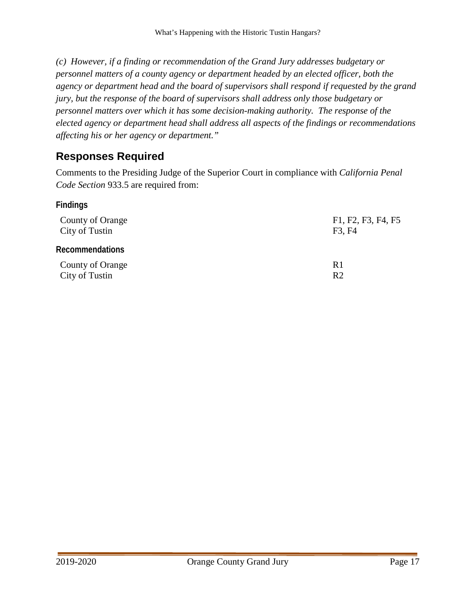*(c) However, if a finding or recommendation of the Grand Jury addresses budgetary or personnel matters of a county agency or department headed by an elected officer, both the agency or department head and the board of supervisors shall respond if requested by the grand jury, but the response of the board of supervisors shall address only those budgetary or personnel matters over which it has some decision-making authority. The response of the elected agency or department head shall address all aspects of the findings or recommendations affecting his or her agency or department."*

## <span id="page-19-0"></span>**Responses Required**

Comments to the Presiding Judge of the Superior Court in compliance with *California Penal Code Section* 933.5 are required from:

<span id="page-19-1"></span>**Findings**

<span id="page-19-2"></span>

| County of Orange       | F1, F2, F3, F4, F5 |
|------------------------|--------------------|
| City of Tustin         | F3, F4             |
| <b>Recommendations</b> |                    |
| County of Orange       | R <sub>1</sub>     |
| City of Tustin         | R <sub>2</sub>     |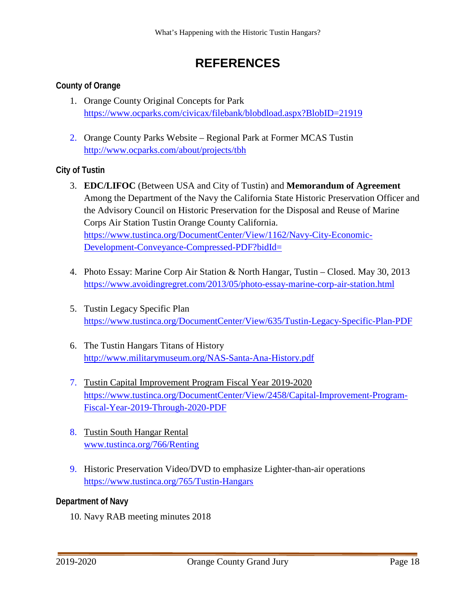## **REFERENCES**

### <span id="page-20-1"></span><span id="page-20-0"></span>**County of Orange**

- 1. Orange County Original Concepts for Park <https://www.ocparks.com/civicax/filebank/blobdload.aspx?BlobID=21919>
- 2. Orange County Parks Website Regional Park at Former MCAS Tustin <http://www.ocparks.com/about/projects/tbh>

### <span id="page-20-2"></span>**City of Tustin**

- 3. **EDC/LIFOC** (Between USA and City of Tustin) and **Memorandum of Agreement** Among the Department of the Navy the California State Historic Preservation Officer and the Advisory Council on Historic Preservation for the Disposal and Reuse of Marine Corps Air Station Tustin Orange County California. [https://www.tustinca.org/DocumentCenter/View/1162/Navy-City-Economic-](https://www.tustinca.org/DocumentCenter/View/1162/Navy-City-Economic-Development-Conveyance-Compressed-PDF?bidId=)[Development-Conveyance-Compressed-PDF?bidId=](https://www.tustinca.org/DocumentCenter/View/1162/Navy-City-Economic-Development-Conveyance-Compressed-PDF?bidId=)
- 4. Photo Essay: Marine Corp Air Station & North Hangar, Tustin Closed. May 30, 2013 <https://www.avoidingregret.com/2013/05/photo-essay-marine-corp-air-station.html>
- 5. Tustin Legacy Specific Plan <https://www.tustinca.org/DocumentCenter/View/635/Tustin-Legacy-Specific-Plan-PDF>
- 6. The Tustin Hangars Titans of History <http://www.militarymuseum.org/NAS-Santa-Ana-History.pdf>
- 7. Tustin Capital Improvement Program Fiscal Year 2019-2020 [https://www.tustinca.org/DocumentCenter/View/2458/Capital-Improvement-Program-](https://www.tustinca.org/DocumentCenter/View/2458/Capital-Improvement-Program-Fiscal-Year-2019-Through-2020-PDF)[Fiscal-Year-2019-Through-2020-PDF](https://www.tustinca.org/DocumentCenter/View/2458/Capital-Improvement-Program-Fiscal-Year-2019-Through-2020-PDF)
- 8. Tustin South Hangar Rental [www.tustinca.org/766/Renting](http://www.tustinca.org/766/Renting)
- 9. Historic Preservation Video/DVD to emphasize Lighter-than-air operations <https://www.tustinca.org/765/Tustin-Hangars>

### <span id="page-20-3"></span>**Department of Navy**

10. Navy RAB meeting minutes 2018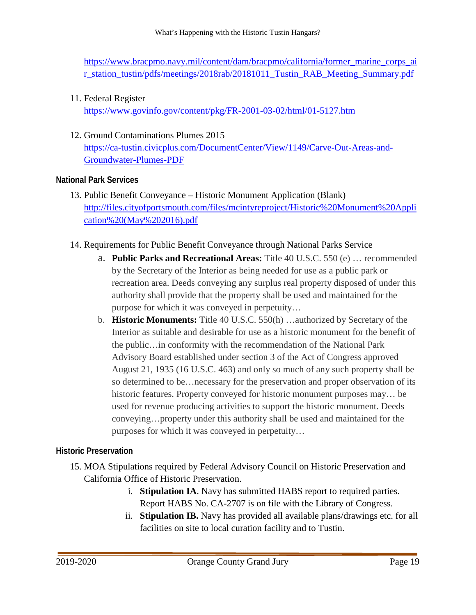[https://www.bracpmo.navy.mil/content/dam/bracpmo/california/former\\_marine\\_corps\\_ai](https://www.bracpmo.navy.mil/content/dam/bracpmo/california/former_marine_corps_air_station_tustin/pdfs/meetings/2018rab/20181011_Tustin_RAB_Meeting_Summary.pdf) [r\\_station\\_tustin/pdfs/meetings/2018rab/20181011\\_Tustin\\_RAB\\_Meeting\\_Summary.pdf](https://www.bracpmo.navy.mil/content/dam/bracpmo/california/former_marine_corps_air_station_tustin/pdfs/meetings/2018rab/20181011_Tustin_RAB_Meeting_Summary.pdf)

11. Federal Register

<https://www.govinfo.gov/content/pkg/FR-2001-03-02/html/01-5127.htm>

12. Ground Contaminations Plumes 2015 [https://ca-tustin.civicplus.com/DocumentCenter/View/1149/Carve-Out-Areas-and-](https://ca-tustin.civicplus.com/DocumentCenter/View/1149/Carve-Out-Areas-and-Groundwater-Plumes-PDF)[Groundwater-Plumes-PDF](https://ca-tustin.civicplus.com/DocumentCenter/View/1149/Carve-Out-Areas-and-Groundwater-Plumes-PDF)

### <span id="page-21-0"></span>**National Park Services**

- 13. Public Benefit Conveyance Historic Monument Application (Blank) [http://files.cityofportsmouth.com/files/mcintyreproject/Historic%20Monument%20Appli](http://files.cityofportsmouth.com/files/mcintyreproject/Historic%20Monument%20Application%20(May%202016).pdf) [cation%20\(May%202016\).pdf](http://files.cityofportsmouth.com/files/mcintyreproject/Historic%20Monument%20Application%20(May%202016).pdf)
- 14. Requirements for Public Benefit Conveyance through National Parks Service
	- a. **Public Parks and Recreational Areas:** Title 40 U.S.C. 550 (e) … recommended by the Secretary of the Interior as being needed for use as a public park or recreation area. Deeds conveying any surplus real property disposed of under this authority shall provide that the property shall be used and maintained for the purpose for which it was conveyed in perpetuity…
	- b. **Historic Monuments:** Title 40 U.S.C. 550(h) …authorized by Secretary of the Interior as suitable and desirable for use as a historic monument for the benefit of the public…in conformity with the recommendation of the National Park Advisory Board established under section 3 of the Act of Congress approved August 21, 1935 (16 U.S.C. 463) and only so much of any such property shall be so determined to be…necessary for the preservation and proper observation of its historic features. Property conveyed for historic monument purposes may… be used for revenue producing activities to support the historic monument. Deeds conveying…property under this authority shall be used and maintained for the purposes for which it was conveyed in perpetuity…

### <span id="page-21-1"></span>**Historic Preservation**

- 15. MOA Stipulations required by Federal Advisory Council on Historic Preservation and California Office of Historic Preservation.
	- i. **Stipulation IA**. Navy has submitted HABS report to required parties. Report HABS No. CA-2707 is on file with the Library of Congress.
	- ii. **Stipulation IB.** Navy has provided all available plans/drawings etc. for all facilities on site to local curation facility and to Tustin.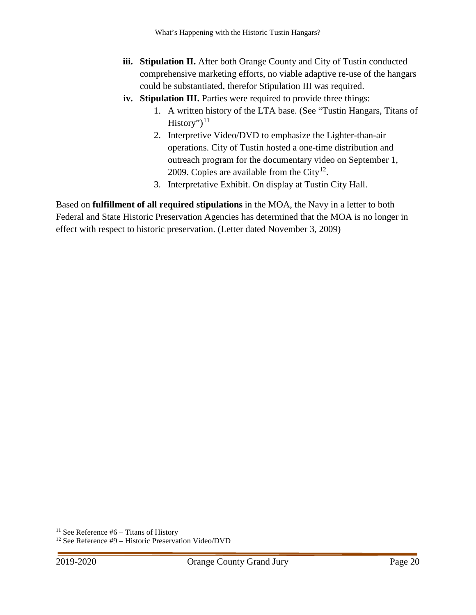- **iii. Stipulation II.** After both Orange County and City of Tustin conducted comprehensive marketing efforts, no viable adaptive re-use of the hangars could be substantiated, therefor Stipulation III was required.
- **iv. Stipulation III.** Parties were required to provide three things:
	- 1. A written history of the LTA base. (See "Tustin Hangars, Titans of  $History$ ")<sup>[11](#page-22-0)</sup>
	- 2. Interpretive Video/DVD to emphasize the Lighter-than-air operations. City of Tustin hosted a one-time distribution and outreach program for the documentary video on September 1, 2009. Copies are available from the City<sup>12</sup>.
	- 3. Interpretative Exhibit. On display at Tustin City Hall.

Based on **fulfillment of all required stipulations** in the MOA, the Navy in a letter to both Federal and State Historic Preservation Agencies has determined that the MOA is no longer in effect with respect to historic preservation. (Letter dated November 3, 2009)

<span id="page-22-0"></span><sup>&</sup>lt;sup>11</sup> See Reference  $#6 -$  Titans of History

<span id="page-22-1"></span><sup>12</sup> See Reference #9 – Historic Preservation Video/DVD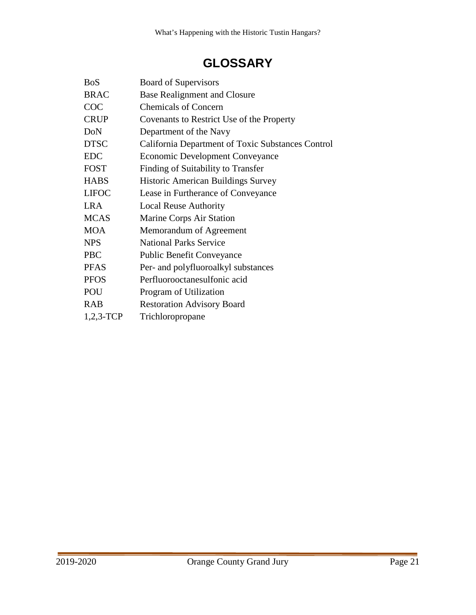# **GLOSSARY**

<span id="page-23-0"></span>

| <b>BoS</b>   | <b>Board of Supervisors</b>                       |
|--------------|---------------------------------------------------|
| <b>BRAC</b>  | <b>Base Realignment and Closure</b>               |
| <b>COC</b>   | <b>Chemicals of Concern</b>                       |
| <b>CRUP</b>  | Covenants to Restrict Use of the Property         |
| DoN          | Department of the Navy                            |
| <b>DTSC</b>  | California Department of Toxic Substances Control |
| <b>EDC</b>   | <b>Economic Development Conveyance</b>            |
| <b>FOST</b>  | Finding of Suitability to Transfer                |
| <b>HABS</b>  | <b>Historic American Buildings Survey</b>         |
| <b>LIFOC</b> | Lease in Furtherance of Conveyance                |
| <b>LRA</b>   | <b>Local Reuse Authority</b>                      |
| <b>MCAS</b>  | Marine Corps Air Station                          |
| <b>MOA</b>   | Memorandum of Agreement                           |
| <b>NPS</b>   | <b>National Parks Service</b>                     |
| <b>PBC</b>   | <b>Public Benefit Conveyance</b>                  |
| <b>PFAS</b>  | Per- and polyfluoroalkyl substances               |
| <b>PFOS</b>  | Perfluorooctanesulfonic acid                      |
| POU          | Program of Utilization                            |
| <b>RAB</b>   | <b>Restoration Advisory Board</b>                 |
| $1,2,3$ -TCP | Trichloropropane                                  |
|              |                                                   |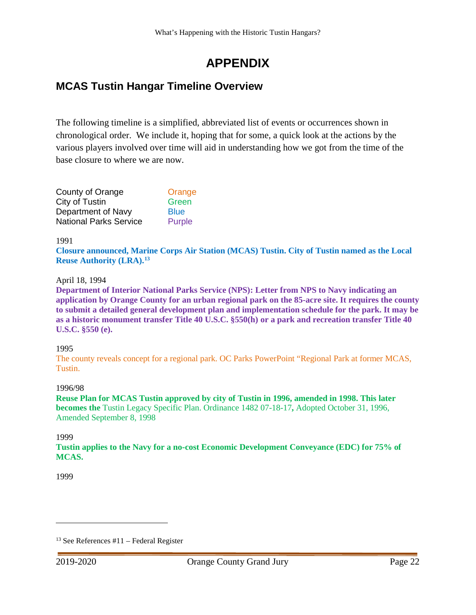# **APPENDIX**

## <span id="page-24-1"></span><span id="page-24-0"></span>**MCAS Tustin Hangar Timeline Overview**

The following timeline is a simplified, abbreviated list of events or occurrences shown in chronological order. We include it, hoping that for some, a quick look at the actions by the various players involved over time will aid in understanding how we got from the time of the base closure to where we are now.

| County of Orange              | Orange      |
|-------------------------------|-------------|
| City of Tustin                | Green       |
| Department of Navy            | <b>Blue</b> |
| <b>National Parks Service</b> | Purple      |

1991

**Closure announced, Marine Corps Air Station (MCAS) Tustin. City of Tustin named as the Local Reuse Authority (LRA).[13](#page-24-2)**

#### April 18, 1994

**Department of Interior National Parks Service (NPS): Letter from NPS to Navy indicating an application by Orange County for an urban regional park on the 85-acre site. It requires the county to submit a detailed general development plan and implementation schedule for the park. It may be as a historic monument transfer Title 40 U.S.C. §550(h) or a park and recreation transfer Title 40 U.S.C. §550 (e).**

#### 1995

The county reveals concept for a regional park. OC Parks PowerPoint "Regional Park at former MCAS, Tustin.

#### 1996/98

**Reuse Plan for MCAS Tustin approved by city of Tustin in 1996, amended in 1998. This later becomes the** Tustin Legacy Specific Plan. Ordinance 1482 07-18-17**,** Adopted October 31, 1996, Amended September 8, 1998

1999

**Tustin applies to the Navy for a no-cost Economic Development Conveyance (EDC) for 75% of MCAS.**

1999

<span id="page-24-2"></span> $13$  See References #11 – Federal Register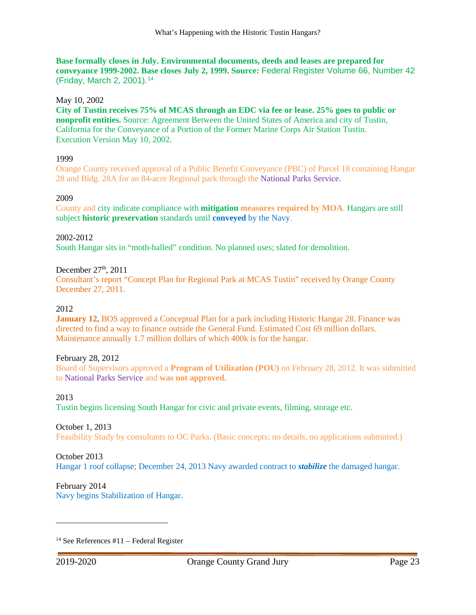**Base formally closes in July. Environmental documents, deeds and leases are prepared for conveyance 1999-2002. Base closes July 2, 1999. Source:** Federal Register Volume 66, Number 42 (Friday, March 2, 2001).[14](#page-25-0)

#### May 10, 2002

**City of Tustin receives 75% of MCAS through an EDC via fee or lease. 25% goes to public or nonprofit entities.** Source: Agreement Between the United States of America and city of Tustin, California for the Conveyance of a Portion of the Former Marine Corps Air Station Tustin. Execution Version May 10, 2002.

#### 1999

Orange County received approval of a Public Benefit Conveyance (PBC) of Parcel 18 containing Hangar 28 and Bldg. 28A for an 84-acre Regional park through the National Parks Service.

#### 2009

County and city indicate compliance with **mitigation measures required by MOA**. Hangars are still subject **historic preservation** standards until **conveyed** by the Navy.

2002-2012 South Hangar sits in "moth-balled" condition. No planned uses; slated for demolition.

December  $27<sup>th</sup>$ ,  $2011$ 

Consultant's report "Concept Plan for Regional Park at MCAS Tustin" received by Orange County December 27, 2011.

2012

**January 12, BOS** approved a Conceptual Plan for a park including Historic Hangar 28. Finance was directed to find a way to finance outside the General Fund. Estimated Cost 69 million dollars. Maintenance annually 1.7 million dollars of which 400k is for the hangar.

#### February 28, 2012

Board of Supervisors approved a **Program of Utilization (POU)** on February 28, 2012. It was submitted to National Parks Service and **was not approved.**

#### 2013

Tustin begins licensing South Hangar for civic and private events, filming, storage etc.

#### October 1, 2013

Feasibility Study by consultants to OC Parks. (Basic concepts; no details, no applications submitted.)

#### October 2013

Hangar 1 roof collapse; December 24, 2013 Navy awarded contract to *stabilize* the damaged hangar.

#### February 2014

Navy begins Stabilization of Hangar.

<span id="page-25-0"></span> $14$  See References #11 – Federal Register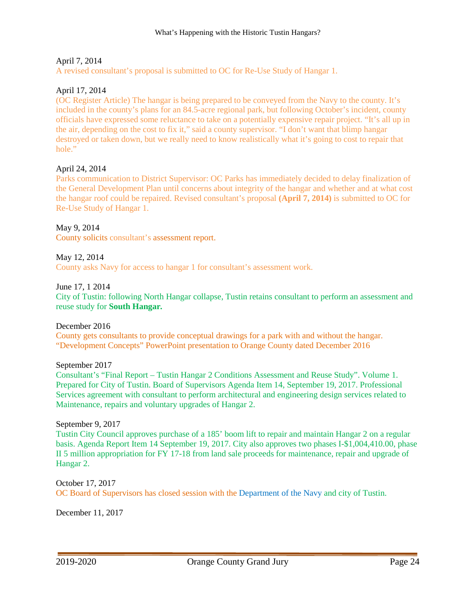#### April 7, 2014

A revised consultant's proposal is submitted to OC for Re-Use Study of Hangar 1.

#### April 17, 2014

(OC Register Article) The hangar is being prepared to be conveyed from the Navy to the county. It's included in the county's plans for an 84.5-acre regional park, but following October's incident, county officials have expressed some reluctance to take on a potentially expensive repair project. "It's all up in the air, depending on the cost to fix it," said a county supervisor. "I don't want that blimp hangar destroyed or taken down, but we really need to know realistically what it's going to cost to repair that hole."

#### April 24, 2014

Parks communication to District Supervisor: OC Parks has immediately decided to delay finalization of the General Development Plan until concerns about integrity of the hangar and whether and at what cost the hangar roof could be repaired. Revised consultant's proposal **(April 7, 2014)** is submitted to OC for Re-Use Study of Hangar 1.

#### May 9, 2014

County solicits consultant's assessment report.

#### May 12, 2014

County asks Navy for access to hangar 1 for consultant's assessment work.

#### June 17, 1 2014

City of Tustin: following North Hangar collapse, Tustin retains consultant to perform an assessment and reuse study for **South Hangar***.*

#### December 2016

County gets consultants to provide conceptual drawings for a park with and without the hangar. "Development Concepts" PowerPoint presentation to Orange County dated December 2016

#### September 2017

Consultant's "Final Report – Tustin Hangar 2 Conditions Assessment and Reuse Study". Volume 1. Prepared for City of Tustin. Board of Supervisors Agenda Item 14, September 19, 2017. Professional Services agreement with consultant to perform architectural and engineering design services related to Maintenance, repairs and voluntary upgrades of Hangar 2.

#### September 9, 2017

Tustin City Council approves purchase of a 185' boom lift to repair and maintain Hangar 2 on a regular basis. Agenda Report Item 14 September 19, 2017. City also approves two phases I-\$1,004,410.00, phase II 5 million appropriation for FY 17-18 from land sale proceeds for maintenance, repair and upgrade of Hangar 2.

### October 17, 2017

OC Board of Supervisors has closed session with the Department of the Navy and city of Tustin.

December 11, 2017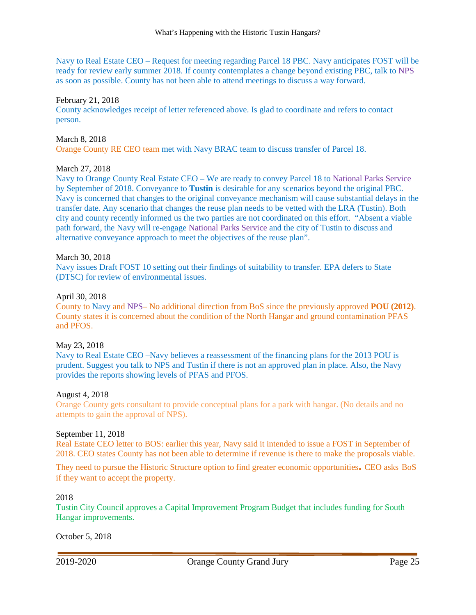Navy to Real Estate CEO – Request for meeting regarding Parcel 18 PBC. Navy anticipates FOST will be ready for review early summer 2018. If county contemplates a change beyond existing PBC, talk to NPS as soon as possible. County has not been able to attend meetings to discuss a way forward.

#### February 21, 2018

County acknowledges receipt of letter referenced above. Is glad to coordinate and refers to contact person.

#### March 8, 2018

Orange County RE CEO team met with Navy BRAC team to discuss transfer of Parcel 18.

#### March 27, 2018

Navy to Orange County Real Estate CEO – We are ready to convey Parcel 18 to National Parks Service by September of 2018. Conveyance to **Tustin** is desirable for any scenarios beyond the original PBC. Navy is concerned that changes to the original conveyance mechanism will cause substantial delays in the transfer date. Any scenario that changes the reuse plan needs to be vetted with the LRA (Tustin). Both city and county recently informed us the two parties are not coordinated on this effort. "Absent a viable path forward, the Navy will re-engage National Parks Service and the city of Tustin to discuss and alternative conveyance approach to meet the objectives of the reuse plan".

#### March 30, 2018

Navy issues Draft FOST 10 setting out their findings of suitability to transfer. EPA defers to State (DTSC) for review of environmental issues.

#### April 30, 2018

County to Navy and NPS– No additional direction from BoS since the previously approved **POU (2012)**. County states it is concerned about the condition of the North Hangar and ground contamination PFAS and PFOS.

#### May 23, 2018

Navy to Real Estate CEO –Navy believes a reassessment of the financing plans for the 2013 POU is prudent. Suggest you talk to NPS and Tustin if there is not an approved plan in place. Also, the Navy provides the reports showing levels of PFAS and PFOS.

#### August 4, 2018

Orange County gets consultant to provide conceptual plans for a park with hangar. (No details and no attempts to gain the approval of NPS).

#### September 11, 2018

Real Estate CEO letter to BOS: earlier this year, Navy said it intended to issue a FOST in September of 2018. CEO states County has not been able to determine if revenue is there to make the proposals viable.

They need to pursue the Historic Structure option to find greater economic opportunities**.** CEO asks BoS if they want to accept the property.

#### 2018

Tustin City Council approves a Capital Improvement Program Budget that includes funding for South Hangar improvements.

October 5, 2018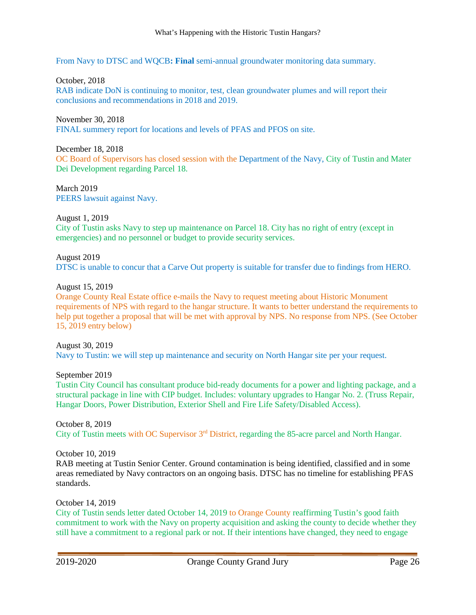From Navy to DTSC and WQCB**: Final** semi-annual groundwater monitoring data summary.

#### October, 2018

RAB indicate DoN is continuing to monitor, test, clean groundwater plumes and will report their conclusions and recommendations in 2018 and 2019.

#### November 30, 2018

FINAL summery report for locations and levels of PFAS and PFOS on site.

#### December 18, 2018

OC Board of Supervisors has closed session with the Department of the Navy, City of Tustin and Mater Dei Development regarding Parcel 18.

March 2019 PEERS lawsuit against Navy.

#### August 1, 2019

City of Tustin asks Navy to step up maintenance on Parcel 18. City has no right of entry (except in emergencies) and no personnel or budget to provide security services.

#### August 2019 DTSC is unable to concur that a Carve Out property is suitable for transfer due to findings from HERO.

#### August 15, 2019

Orange County Real Estate office e-mails the Navy to request meeting about Historic Monument requirements of NPS with regard to the hangar structure. It wants to better understand the requirements to help put together a proposal that will be met with approval by NPS. No response from NPS. (See October 15, 2019 entry below)

August 30, 2019 Navy to Tustin: we will step up maintenance and security on North Hangar site per your request.

September 2019 Tustin City Council has consultant produce bid-ready documents for a power and lighting package, and a structural package in line with CIP budget. Includes: voluntary upgrades to Hangar No. 2. (Truss Repair, Hangar Doors, Power Distribution, Exterior Shell and Fire Life Safety/Disabled Access).

October 8, 2019 City of Tustin meets with OC Supervisor 3rd District, regarding the 85-acre parcel and North Hangar.

October 10, 2019

RAB meeting at Tustin Senior Center. Ground contamination is being identified, classified and in some areas remediated by Navy contractors on an ongoing basis. DTSC has no timeline for establishing PFAS standards.

October 14, 2019

City of Tustin sends letter dated October 14, 2019 to Orange County reaffirming Tustin's good faith commitment to work with the Navy on property acquisition and asking the county to decide whether they still have a commitment to a regional park or not. If their intentions have changed, they need to engage